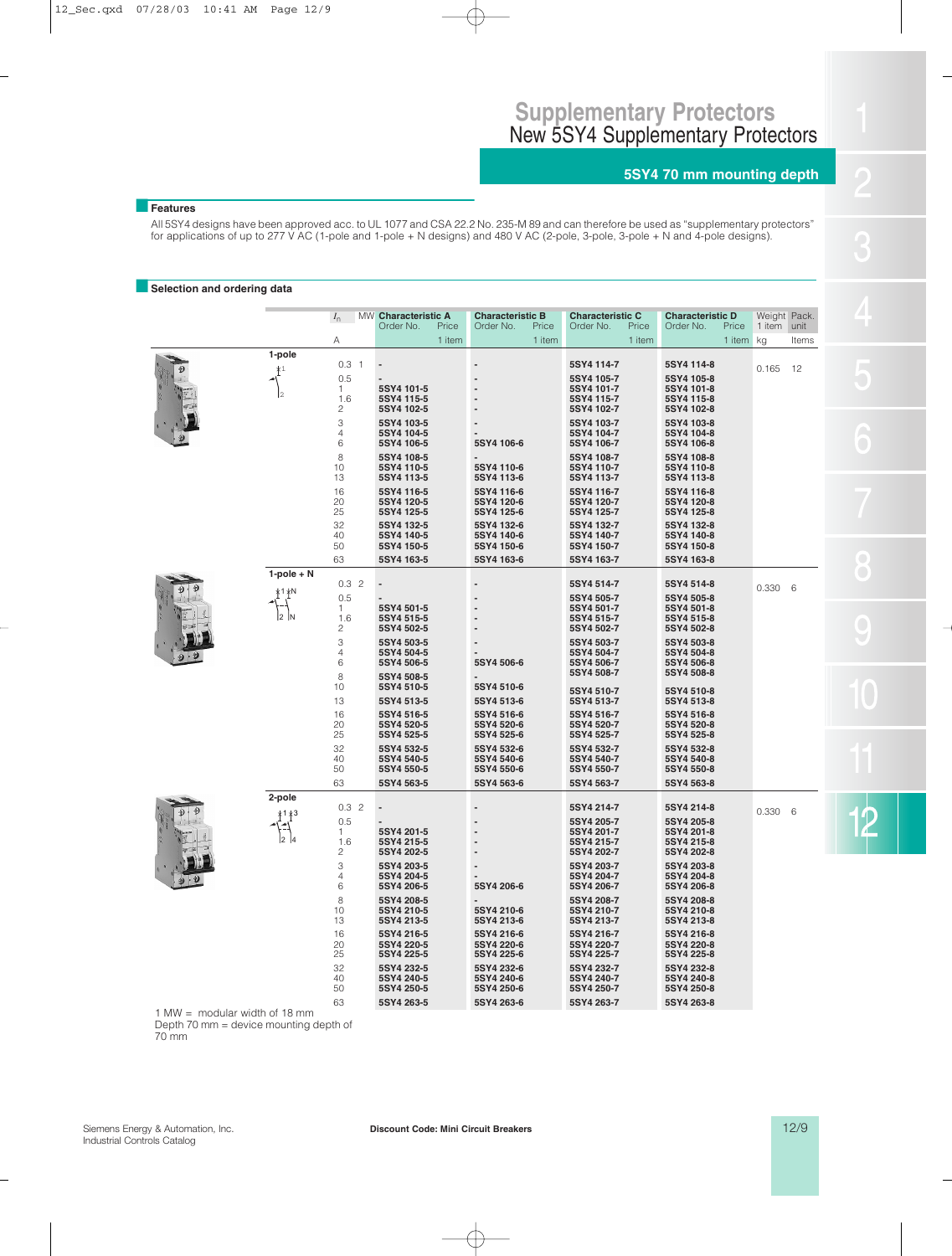# **5SY4 70 mm mounting depth**

## ■**Features**

All 5SY4 designs have been approved acc. to UL 1077 and CSA 22.2 No. 235-M 89 and can therefore be used as "supplementary protectors" for applications of up to 277 V AC (1-pole and 1-pole + N designs) and 480 V AC (2-pole, 3-pole, 3-pole + N and 4-pole designs).

#### **B** Selection and ordering data

|  | $I_{n}$         |                                              | MW Characteristic A<br>Order No.<br>Price            | <b>Characteristic B</b><br>Price<br>Order No. | <b>Characteristic C</b><br>Order No.<br>Price        | <b>Characteristic D</b><br>Price<br>Order No.        | Weight Pack.<br>1 item unit |       |  |  |  |
|--|-----------------|----------------------------------------------|------------------------------------------------------|-----------------------------------------------|------------------------------------------------------|------------------------------------------------------|-----------------------------|-------|--|--|--|
|  |                 | Α                                            | 1 item                                               | 1 item                                        | 1 item                                               | 1 item                                               | kg                          | Items |  |  |  |
|  | 1-pole          | 0.3 <sub>1</sub><br>0.5                      |                                                      |                                               | 5SY4 114-7<br>5SY4 105-7                             | 5SY4 114-8<br>5SY4 105-8                             | 0.165                       | 12    |  |  |  |
|  | l2              | $\mathbf{1}$<br>1.6<br>$\mathbf{2}$<br>3     | 5SY4 101-5<br>5SY4 115-5<br>5SY4 102-5<br>5SY4 103-5 |                                               | 5SY4 101-7<br>5SY4 115-7<br>5SY4 102-7<br>5SY4 103-7 | 5SY4 101-8<br>5SY4 115-8<br>5SY4 102-8<br>5SY4 103-8 |                             |       |  |  |  |
|  |                 | $\overline{4}$<br>6                          | 5SY4 104-5<br>5SY4 106-5                             | 5SY4 106-6                                    | 5SY4 104-7<br>5SY4 106-7                             | 5SY4 104-8<br>5SY4 106-8                             |                             |       |  |  |  |
|  |                 | 8<br>10<br>13                                | 5SY4 108-5<br>5SY4 110-5<br>5SY4 113-5               | 5SY4 110-6<br>5SY4 113-6                      | 5SY4 108-7<br>5SY4 110-7<br>5SY4 113-7               | 5SY4 108-8<br>5SY4 110-8<br>5SY4 113-8               |                             |       |  |  |  |
|  |                 | 16<br>20<br>25                               | 5SY4 116-5<br>5SY4 120-5<br>5SY4 125-5               | 5SY4 116-6<br>5SY4 120-6<br>5SY4 125-6        | 5SY4 116-7<br>5SY4 120-7<br>5SY4 125-7               | 5SY4 116-8<br>5SY4 120-8<br>5SY4 125-8               |                             |       |  |  |  |
|  |                 | 32<br>40<br>50                               | 5SY4 132-5<br>5SY4 140-5<br>5SY4 150-5               | 5SY4 132-6<br>5SY4 140-6<br>5SY4 150-6        | 5SY4 132-7<br>5SY4 140-7<br>5SY4 150-7               | 5SY4 132-8<br>5SY4 140-8<br>5SY4 150-8               |                             |       |  |  |  |
|  |                 | 63                                           | 5SY4 163-5                                           | 5SY4 163-6                                    | 5SY4 163-7                                           | 5SY4 163-8                                           |                             |       |  |  |  |
|  | $1-pole + N$    | 0.32                                         |                                                      |                                               | 5SY4 514-7                                           | 5SY4 514-8                                           | 0.330                       | 6     |  |  |  |
|  | *1 ∤N<br>l2 In  | 0.5<br>$\mathbf{1}$<br>1.6<br>$\overline{c}$ | 5SY4 501-5<br>5SY4 515-5<br>5SY4 502-5               |                                               | 5SY4 505-7<br>5SY4 501-7<br>5SY4 515-7<br>5SY4 502-7 | 5SY4 505-8<br>5SY4 501-8<br>5SY4 515-8<br>5SY4 502-8 |                             |       |  |  |  |
|  |                 | 3<br>4<br>6                                  | 5SY4 503-5<br>5SY4 504-5<br>5SY4 506-5               | 5SY4 506-6                                    | 5SY4 503-7<br>5SY4 504-7<br>5SY4 506-7               | 5SY4 503-8<br>5SY4 504-8<br>5SY4 506-8               |                             |       |  |  |  |
|  |                 | 8<br>10<br>13                                | 5SY4 508-5<br>5SY4 510-5<br>5SY4 513-5               | 5SY4 510-6<br>5SY4 513-6                      | 5SY4 508-7<br>5SY4 510-7<br>5SY4 513-7               | 5SY4 508-8<br>5SY4 510-8<br>5SY4 513-8               |                             |       |  |  |  |
|  |                 | 16<br>20<br>25                               | 5SY4 516-5<br>5SY4 520-5<br>5SY4 525-5               | 5SY4 516-6<br>5SY4 520-6<br>5SY4 525-6        | 5SY4 516-7<br>5SY4 520-7<br>5SY4 525-7               | 5SY4 516-8<br>5SY4 520-8<br>5SY4 525-8               |                             |       |  |  |  |
|  |                 | 32<br>40<br>50                               | 5SY4 532-5<br>5SY4 540-5<br>5SY4 550-5               | 5SY4 532-6<br>5SY4 540-6<br>5SY4 550-6        | 5SY4 532-7<br>5SY4 540-7<br>5SY4 550-7               | 5SY4 532-8<br>5SY4 540-8<br>5SY4 550-8               |                             |       |  |  |  |
|  |                 | 63                                           | 5SY4 563-5                                           | 5SY4 563-6                                    | 5SY4 563-7                                           | 5SY4 563-8                                           |                             |       |  |  |  |
|  | 2-pole<br>*1 *3 | 0.32<br>0.5                                  |                                                      |                                               | 5SY4 214-7<br>5SY4 205-7                             | 5SY4 214-8<br>5SY4 205-8                             | 0.330                       | 6     |  |  |  |
|  |                 | $\mathbf{1}$<br>1.6<br>$\sqrt{2}$            | 5SY4 201-5<br>5SY4 215-5<br>5SY4 202-5               |                                               | 5SY4 201-7<br>5SY4 215-7<br>5SY4 202-7               | 5SY4 201-8<br>5SY4 215-8<br>5SY4 202-8               |                             |       |  |  |  |
|  |                 | 3<br>$\overline{4}$<br>6                     | 5SY4 203-5<br>5SY4 204-5<br>5SY4 206-5               | 5SY4 206-6                                    | 5SY4 203-7<br>5SY4 204-7<br>5SY4 206-7               | 5SY4 203-8<br>5SY4 204-8<br>5SY4 206-8               |                             |       |  |  |  |
|  |                 | 8<br>10<br>13                                | 5SY4 208-5<br>5SY4 210-5<br>5SY4 213-5               | 5SY4 210-6<br>5SY4 213-6                      | 5SY4 208-7<br>5SY4 210-7<br>5SY4 213-7               | 5SY4 208-8<br>5SY4 210-8<br>5SY4 213-8               |                             |       |  |  |  |
|  |                 | 16<br>20<br>25                               | 5SY4 216-5<br>5SY4 220-5<br>5SY4 225-5               | 5SY4 216-6<br>5SY4 220-6<br>5SY4 225-6        | 5SY4 216-7<br>5SY4 220-7<br>5SY4 225-7               | 5SY4 216-8<br>5SY4 220-8<br>5SY4 225-8               |                             |       |  |  |  |
|  |                 | 32<br>40<br>50                               | 5SY4 232-5<br>5SY4 240-5<br>5SY4 250-5               | 5SY4 232-6<br>5SY4 240-6<br>5SY4 250-6        | 5SY4 232-7<br>5SY4 240-7<br>5SY4 250-7               | 5SY4 232-8<br>5SY4 240-8<br>5SY4 250-8               |                             |       |  |  |  |
|  |                 | 63                                           | 5SY4 263-5                                           | 5SY4 263-6                                    | 5SY4 263-7                                           | 5SY4 263-8                                           |                             |       |  |  |  |

1 MW = modular width of 18 mm Depth 70 mm = device mounting depth of 70 mm